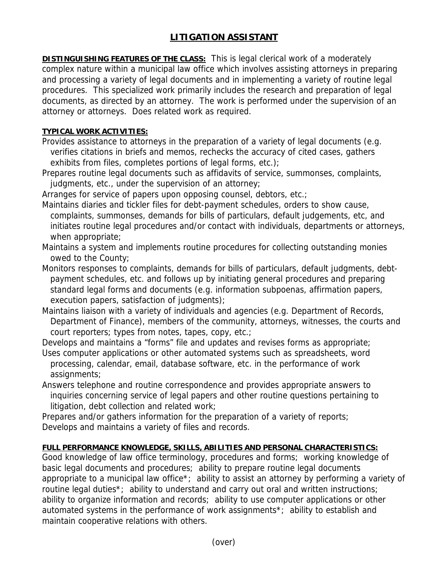## **LITIGATION ASSISTANT**

**DISTINGUISHING FEATURES OF THE CLASS:** This is legal clerical work of a moderately complex nature within a municipal law office which involves assisting attorneys in preparing and processing a variety of legal documents and in implementing a variety of routine legal procedures. This specialized work primarily includes the research and preparation of legal documents, as directed by an attorney. The work is performed under the supervision of an attorney or attorneys. Does related work as required.

## **TYPICAL WORK ACTIVITIES:**

- Provides assistance to attorneys in the preparation of a variety of legal documents (e.g. verifies citations in briefs and memos, rechecks the accuracy of cited cases, gathers exhibits from files, completes portions of legal forms, etc.);
- Prepares routine legal documents such as affidavits of service, summonses, complaints, judgments, etc., under the supervision of an attorney;

Arranges for service of papers upon opposing counsel, debtors, etc.;

Maintains diaries and tickler files for debt-payment schedules, orders to show cause, complaints, summonses, demands for bills of particulars, default judgements, etc, and initiates routine legal procedures and/or contact with individuals, departments or attorneys, when appropriate;

Maintains a system and implements routine procedures for collecting outstanding monies owed to the County;

- Monitors responses to complaints, demands for bills of particulars, default judgments, debt payment schedules, etc. and follows up by initiating general procedures and preparing standard legal forms and documents (e.g. information subpoenas, affirmation papers, execution papers, satisfaction of judgments);
- Maintains liaison with a variety of individuals and agencies (e.g. Department of Records, Department of Finance), members of the community, attorneys, witnesses, the courts and court reporters; types from notes, tapes, copy, etc.;

Develops and maintains a "forms" file and updates and revises forms as appropriate;

- Uses computer applications or other automated systems such as spreadsheets, word processing, calendar, email, database software, etc. in the performance of work assignments;
- Answers telephone and routine correspondence and provides appropriate answers to inquiries concerning service of legal papers and other routine questions pertaining to litigation, debt collection and related work;

Prepares and/or gathers information for the preparation of a variety of reports; Develops and maintains a variety of files and records.

## **FULL PERFORMANCE KNOWLEDGE, SKILLS, ABILITIES AND PERSONAL CHARACTERISTICS:**

Good knowledge of law office terminology, procedures and forms; working knowledge of basic legal documents and procedures; ability to prepare routine legal documents appropriate to a municipal law office\*; ability to assist an attorney by performing a variety of routine legal duties\*; ability to understand and carry out oral and written instructions; ability to organize information and records; ability to use computer applications or other automated systems in the performance of work assignments\*; ability to establish and maintain cooperative relations with others.